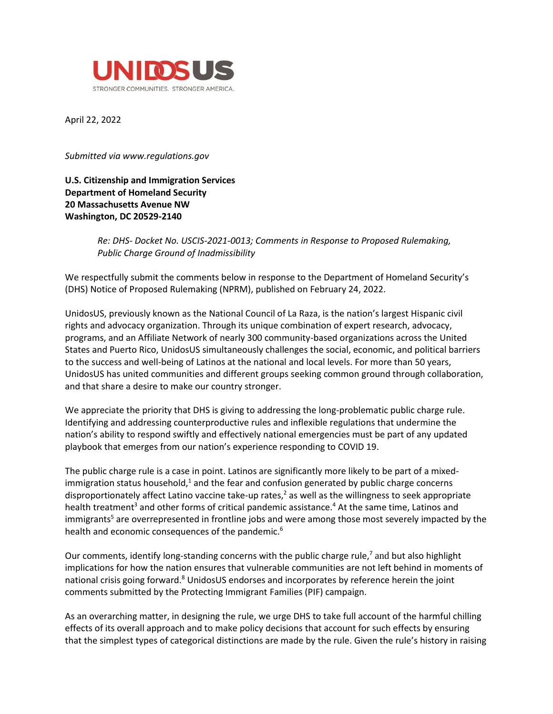

April 22, 2022

*Submitted via www.regulations.gov*

## **U.S. Citizenship and Immigration Services Department of Homeland Security 20 Massachusetts Avenue NW Washington, DC 20529-2140**

*Re: DHS- Docket No. USCIS-2021-0013; Comments in Response to Proposed Rulemaking, Public Charge Ground of Inadmissibility*

We respectfully submit the comments below in response to the Department of Homeland Security's (DHS) Notice of Proposed Rulemaking (NPRM), published on February 24, 2022.

UnidosUS, previously known as the National Council of La Raza, is the nation's largest Hispanic civil rights and advocacy organization. Through its unique combination of expert research, advocacy, programs, and an Affiliate Network of nearly 300 community-based organizations across the United States and Puerto Rico, UnidosUS simultaneously challenges the social, economic, and political barriers to the success and well-being of Latinos at the national and local levels. For more than 50 years, UnidosUS has united communities and different groups seeking common ground through collaboration, and that share a desire to make our country stronger.

We appreciate the priority that DHS is giving to addressing the long-problematic public charge rule. Identifying and addressing counterproductive rules and inflexible regulations that undermine the nation's ability to respond swiftly and effectively national emergencies must be part of any updated playbook that emerges from our nation's experience responding to COVID 19.

The public charge rule is a case in point. Latinos are significantly more likely to be part of a mixedimmigration status household, $1$  and the fear and confusion generated by public charge concerns disproportionately affect Latino vaccine take-up rates, <sup>2</sup> as well as the willingness to seek appropriate health treatment<sup>3</sup> and other forms of critical pandemic assistance.<sup>4</sup> At the same time, Latinos and immigrants<sup>5</sup> are overrepresented in frontline jobs and were among those most severely impacted by the health and economic consequences of the pandemic.<sup>6</sup>

Our comments, identify long-standing concerns with the public charge rule,<sup>7</sup> and but also highlight implications for how the nation ensures that vulnerable communities are not left behind in moments of national crisis going forward.<sup>8</sup> UnidosUS endorses and incorporates by reference herein the joint comments submitted by the Protecting Immigrant Families (PIF) campaign.

As an overarching matter, in designing the rule, we urge DHS to take full account of the harmful chilling effects of its overall approach and to make policy decisions that account for such effects by ensuring that the simplest types of categorical distinctions are made by the rule. Given the rule's history in raising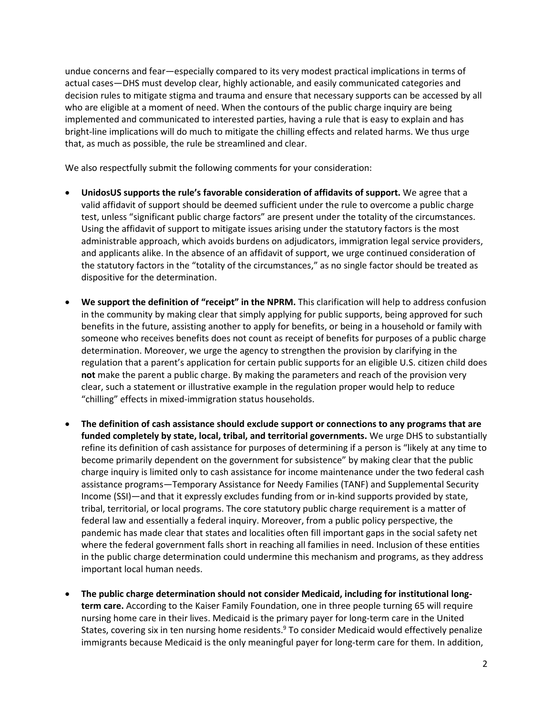undue concerns and fear—especially compared to its very modest practical implications in terms of actual cases—DHS must develop clear, highly actionable, and easily communicated categories and decision rules to mitigate stigma and trauma and ensure that necessary supports can be accessed by all who are eligible at a moment of need. When the contours of the public charge inquiry are being implemented and communicated to interested parties, having a rule that is easy to explain and has bright-line implications will do much to mitigate the chilling effects and related harms. We thus urge that, as much as possible, the rule be streamlined and clear.

We also respectfully submit the following comments for your consideration:

- **UnidosUS supports the rule's favorable consideration of affidavits of support.** We agree that a valid affidavit of support should be deemed sufficient under the rule to overcome a public charge test, unless "significant public charge factors" are present under the totality of the circumstances. Using the affidavit of support to mitigate issues arising under the statutory factors is the most administrable approach, which avoids burdens on adjudicators, immigration legal service providers, and applicants alike. In the absence of an affidavit of support, we urge continued consideration of the statutory factors in the "totality of the circumstances," as no single factor should be treated as dispositive for the determination.
- **We support the definition of "receipt" in the NPRM.** This clarification will help to address confusion in the community by making clear that simply applying for public supports, being approved for such benefits in the future, assisting another to apply for benefits, or being in a household or family with someone who receives benefits does not count as receipt of benefits for purposes of a public charge determination. Moreover, we urge the agency to strengthen the provision by clarifying in the regulation that a parent's application for certain public supports for an eligible U.S. citizen child does **not** make the parent a public charge. By making the parameters and reach of the provision very clear, such a statement or illustrative example in the regulation proper would help to reduce "chilling" effects in mixed-immigration status households.
- **The definition of cash assistance should exclude support or connections to any programs that are funded completely by state, local, tribal, and territorial governments.** We urge DHS to substantially refine its definition of cash assistance for purposes of determining if a person is "likely at any time to become primarily dependent on the government for subsistence" by making clear that the public charge inquiry is limited only to cash assistance for income maintenance under the two federal cash assistance programs—Temporary Assistance for Needy Families (TANF) and Supplemental Security Income (SSI)—and that it expressly excludes funding from or in-kind supports provided by state, tribal, territorial, or local programs. The core statutory public charge requirement is a matter of federal law and essentially a federal inquiry. Moreover, from a public policy perspective, the pandemic has made clear that states and localities often fill important gaps in the social safety net where the federal government falls short in reaching all families in need. Inclusion of these entities in the public charge determination could undermine this mechanism and programs, as they address important local human needs.
- **The public charge determination should not consider Medicaid, including for institutional longterm care.** According to the Kaiser Family Foundation, one in three people turning 65 will require nursing home care in their lives. Medicaid is the primary payer for long-term care in the United States, covering six in ten nursing home residents.<sup>9</sup> To consider Medicaid would effectively penalize immigrants because Medicaid is the only meaningful payer for long-term care for them. In addition,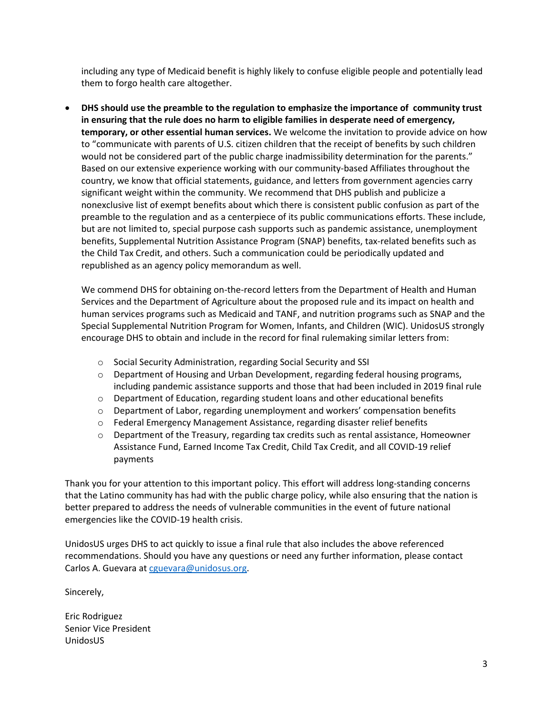including any type of Medicaid benefit is highly likely to confuse eligible people and potentially lead them to forgo health care altogether.

• **DHS should use the preamble to the regulation to emphasize the importance of community trust in ensuring that the rule does no harm to eligible families in desperate need of emergency, temporary, or other essential human services.** We welcome the invitation to provide advice on how to "communicate with parents of U.S. citizen children that the receipt of benefits by such children would not be considered part of the public charge inadmissibility determination for the parents." Based on our extensive experience working with our community-based Affiliates throughout the country, we know that official statements, guidance, and letters from government agencies carry significant weight within the community. We recommend that DHS publish and publicize a nonexclusive list of exempt benefits about which there is consistent public confusion as part of the preamble to the regulation and as a centerpiece of its public communications efforts. These include, but are not limited to, special purpose cash supports such as pandemic assistance, unemployment benefits, Supplemental Nutrition Assistance Program (SNAP) benefits, tax-related benefits such as the Child Tax Credit, and others. Such a communication could be periodically updated and republished as an agency policy memorandum as well.

We commend DHS for obtaining on-the-record letters from the Department of Health and Human Services and the Department of Agriculture about the proposed rule and its impact on health and human services programs such as Medicaid and TANF, and nutrition programs such as SNAP and the Special Supplemental Nutrition Program for Women, Infants, and Children (WIC). UnidosUS strongly encourage DHS to obtain and include in the record for final rulemaking similar letters from:

- o Social Security Administration, regarding Social Security and SSI
- $\circ$  Department of Housing and Urban Development, regarding federal housing programs, including pandemic assistance supports and those that had been included in 2019 final rule
- o Department of Education, regarding student loans and other educational benefits
- o Department of Labor, regarding unemployment and workers' compensation benefits
- o Federal Emergency Management Assistance, regarding disaster relief benefits
- $\circ$  Department of the Treasury, regarding tax credits such as rental assistance, Homeowner Assistance Fund, Earned Income Tax Credit, Child Tax Credit, and all COVID-19 relief payments

Thank you for your attention to this important policy. This effort will address long-standing concerns that the Latino community has had with the public charge policy, while also ensuring that the nation is better prepared to address the needs of vulnerable communities in the event of future national emergencies like the COVID-19 health crisis.

UnidosUS urges DHS to act quickly to issue a final rule that also includes the above referenced recommendations. Should you have any questions or need any further information, please contact Carlos A. Guevara at [cguevara@unidosus.org.](mailto:cguevara@unidosus.org)

Sincerely,

Eric Rodriguez Senior Vice President UnidosUS